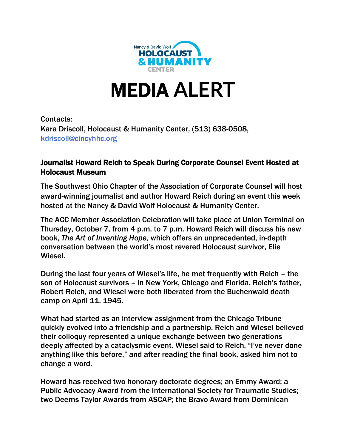

# MEDIA **ALERT**

Contacts: Kara Driscoll, Holocaust & Humanity Center, (513) 638-0508, [kdriscoll@cincyhhc.org](mailto:kdriscoll@cincyhhc.org)

#### Journalist Howard Reich to Speak During Corporate Counsel Event Hosted at Holocaust Museum

The Southwest Ohio Chapter of the Association of Corporate Counsel will host award-winning journalist and author Howard Reich during an event this week hosted at the Nancy & David Wolf Holocaust & Humanity Center.

The ACC Member Association Celebration will take place at Union Terminal on Thursday, October 7, from 4 p.m. to 7 p.m. Howard Reich will discuss his new book, *The Art of Inventing Hope,* which offers an unprecedented, in-depth conversation between the world's most revered Holocaust survivor, Elie Wiesel.

During the last four years of Wiesel's life, he met frequently with Reich – the son of Holocaust survivors – in New York, Chicago and Florida. Reich's father, Robert Reich, and Wiesel were both liberated from the Buchenwald death camp on April 11, 1945.

What had started as an interview assignment from the Chicago Tribune quickly evolved into a friendship and a partnership. Reich and Wiesel believed their colloquy represented a unique exchange between two generations deeply affected by a cataclysmic event. Wiesel said to Reich, "I've never done anything like this before," and after reading the final book, asked him not to change a word.

Howard has received two honorary doctorate degrees; an Emmy Award; a Public Advocacy Award from the International Society for Traumatic Studies; two Deems Taylor Awards from ASCAP; the Bravo Award from Dominican